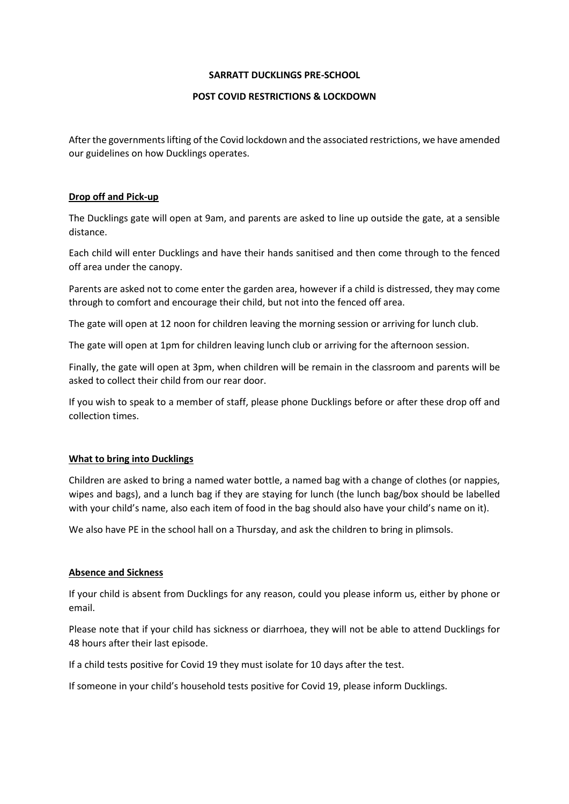#### **SARRATT DUCKLINGS PRE-SCHOOL**

## **POST COVID RESTRICTIONS & LOCKDOWN**

After the governments lifting of the Covid lockdown and the associated restrictions, we have amended our guidelines on how Ducklings operates.

### **Drop off and Pick-up**

The Ducklings gate will open at 9am, and parents are asked to line up outside the gate, at a sensible distance.

Each child will enter Ducklings and have their hands sanitised and then come through to the fenced off area under the canopy.

Parents are asked not to come enter the garden area, however if a child is distressed, they may come through to comfort and encourage their child, but not into the fenced off area.

The gate will open at 12 noon for children leaving the morning session or arriving for lunch club.

The gate will open at 1pm for children leaving lunch club or arriving for the afternoon session.

Finally, the gate will open at 3pm, when children will be remain in the classroom and parents will be asked to collect their child from our rear door.

If you wish to speak to a member of staff, please phone Ducklings before or after these drop off and collection times.

## **What to bring into Ducklings**

Children are asked to bring a named water bottle, a named bag with a change of clothes (or nappies, wipes and bags), and a lunch bag if they are staying for lunch (the lunch bag/box should be labelled with your child's name, also each item of food in the bag should also have your child's name on it).

We also have PE in the school hall on a Thursday, and ask the children to bring in plimsols.

## **Absence and Sickness**

If your child is absent from Ducklings for any reason, could you please inform us, either by phone or email.

Please note that if your child has sickness or diarrhoea, they will not be able to attend Ducklings for 48 hours after their last episode.

If a child tests positive for Covid 19 they must isolate for 10 days after the test.

If someone in your child's household tests positive for Covid 19, please inform Ducklings.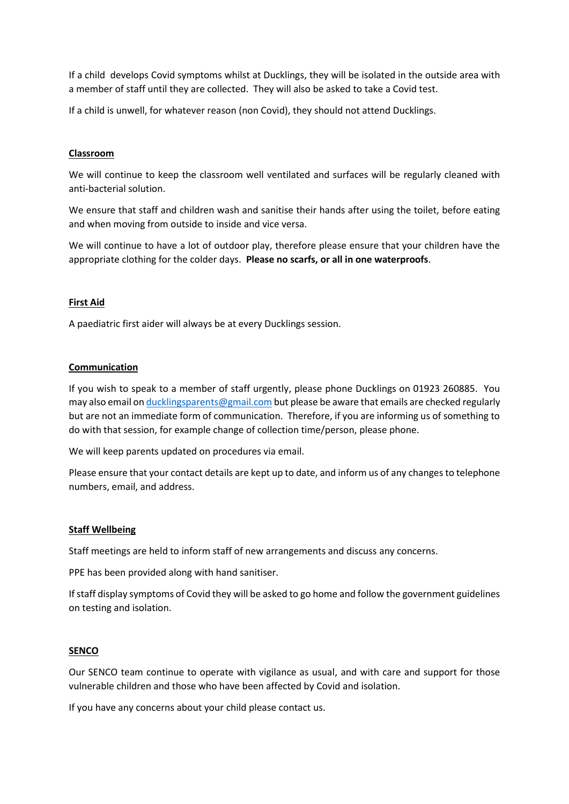If a child develops Covid symptoms whilst at Ducklings, they will be isolated in the outside area with a member of staff until they are collected. They will also be asked to take a Covid test.

If a child is unwell, for whatever reason (non Covid), they should not attend Ducklings.

## **Classroom**

We will continue to keep the classroom well ventilated and surfaces will be regularly cleaned with anti-bacterial solution.

We ensure that staff and children wash and sanitise their hands after using the toilet, before eating and when moving from outside to inside and vice versa.

We will continue to have a lot of outdoor play, therefore please ensure that your children have the appropriate clothing for the colder days. **Please no scarfs, or all in one waterproofs**.

# **First Aid**

A paediatric first aider will always be at every Ducklings session.

## **Communication**

If you wish to speak to a member of staff urgently, please phone Ducklings on 01923 260885. You may also email o[n ducklingsparents@gmail.com](about:blank) but please be aware that emails are checked regularly but are not an immediate form of communication. Therefore, if you are informing us of something to do with that session, for example change of collection time/person, please phone.

We will keep parents updated on procedures via email.

Please ensure that your contact details are kept up to date, and inform us of any changes to telephone numbers, email, and address.

## **Staff Wellbeing**

Staff meetings are held to inform staff of new arrangements and discuss any concerns.

PPE has been provided along with hand sanitiser.

If staff display symptoms of Covid they will be asked to go home and follow the government guidelines on testing and isolation.

#### **SENCO**

Our SENCO team continue to operate with vigilance as usual, and with care and support for those vulnerable children and those who have been affected by Covid and isolation.

If you have any concerns about your child please contact us.